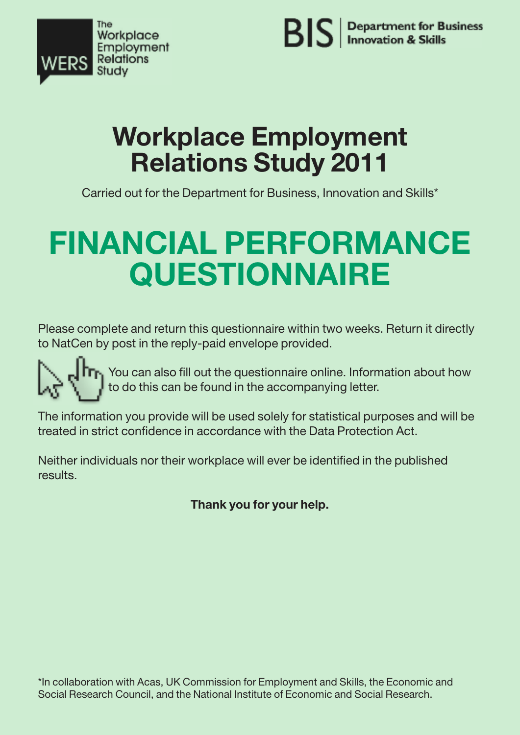



# **Workplace Employment Relations Study 2011**

Carried out for the Department for Business, Innovation and Skills\*

# **FINANCIAL PERFORMANCE QUESTIONNAIRE**

Please complete and return this questionnaire within two weeks. Return it directly to NatCen by post in the reply-paid envelope provided.

You can also fill out the questionnaire online. Information about how to do this can be found in the accompanying letter.

The information you provide will be used solely for statistical purposes and will be treated in strict confidence in accordance with the Data Protection Act.

Neither individuals nor their workplace will ever be identified in the published results.

**Thank you for your help.**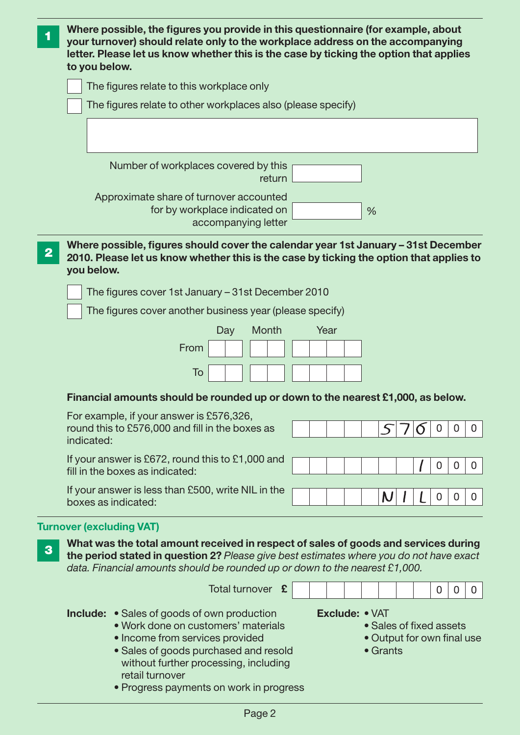| 1                | Where possible, the figures you provide in this questionnaire (for example, about<br>your turnover) should relate only to the workplace address on the accompanying<br>letter. Please let us know whether this is the case by ticking the option that applies<br>to you below.                                                                                      |             |
|------------------|---------------------------------------------------------------------------------------------------------------------------------------------------------------------------------------------------------------------------------------------------------------------------------------------------------------------------------------------------------------------|-------------|
|                  | The figures relate to this workplace only                                                                                                                                                                                                                                                                                                                           |             |
|                  | The figures relate to other workplaces also (please specify)                                                                                                                                                                                                                                                                                                        |             |
|                  |                                                                                                                                                                                                                                                                                                                                                                     |             |
|                  | Number of workplaces covered by this<br>return                                                                                                                                                                                                                                                                                                                      |             |
|                  | Approximate share of turnover accounted<br>for by workplace indicated on<br>%<br>accompanying letter                                                                                                                                                                                                                                                                |             |
| $\boldsymbol{2}$ | Where possible, figures should cover the calendar year 1st January – 31st December<br>2010. Please let us know whether this is the case by ticking the option that applies to<br>you below.                                                                                                                                                                         |             |
|                  | The figures cover 1st January – 31st December 2010                                                                                                                                                                                                                                                                                                                  |             |
|                  | The figures cover another business year (please specify)                                                                                                                                                                                                                                                                                                            |             |
|                  | Month<br>Year<br>Day                                                                                                                                                                                                                                                                                                                                                |             |
|                  | From                                                                                                                                                                                                                                                                                                                                                                |             |
|                  | To                                                                                                                                                                                                                                                                                                                                                                  |             |
|                  | Financial amounts should be rounded up or down to the nearest £1,000, as below.                                                                                                                                                                                                                                                                                     |             |
|                  | For example, if your answer is £576,326,                                                                                                                                                                                                                                                                                                                            |             |
|                  | round this to £576,000 and fill in the boxes as<br>0<br>0<br>indicated:                                                                                                                                                                                                                                                                                             | $\mathbf 0$ |
|                  | If your answer is £672, round this to £1,000 and<br>0<br>0<br>fill in the boxes as indicated:                                                                                                                                                                                                                                                                       | $\mathbf 0$ |
|                  | If your answer is less than £500, write NIL in the<br>N<br>0<br>0<br>boxes as indicated:                                                                                                                                                                                                                                                                            | $\mathbf 0$ |
| 3                | <b>Turnover (excluding VAT)</b><br>What was the total amount received in respect of sales of goods and services during<br>the period stated in question 2? Please give best estimates where you do not have exact<br>data. Financial amounts should be rounded up or down to the nearest $£1,000$ .                                                                 |             |
|                  | Total turnover<br>£<br>$\mathbf 0$<br>0                                                                                                                                                                                                                                                                                                                             | $\mathbf 0$ |
|                  | Exclude: • VAT<br><b>Include: •</b> Sales of goods of own production<br>. Work done on customers' materials<br>• Sales of fixed assets<br>• Income from services provided<br>• Output for own final use<br>• Sales of goods purchased and resold<br>• Grants<br>without further processing, including<br>retail turnover<br>• Progress payments on work in progress |             |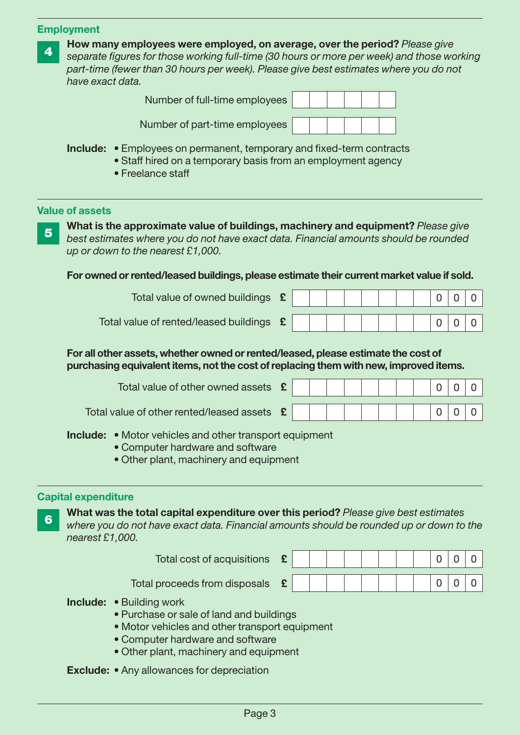|                         | <b>Employment</b>          |                                     |                                                                                                                                                                                                                                                                       |             |  |  |  |  |                |                |             |
|-------------------------|----------------------------|-------------------------------------|-----------------------------------------------------------------------------------------------------------------------------------------------------------------------------------------------------------------------------------------------------------------------|-------------|--|--|--|--|----------------|----------------|-------------|
| 4                       | have exact data.           |                                     | How many employees were employed, on average, over the period? Please give<br>separate figures for those working full-time (30 hours or more per week) and those working<br>part-time (fewer than 30 hours per week). Please give best estimates where you do not     |             |  |  |  |  |                |                |             |
|                         |                            |                                     | Number of full-time employees                                                                                                                                                                                                                                         |             |  |  |  |  |                |                |             |
|                         |                            |                                     | Number of part-time employees                                                                                                                                                                                                                                         |             |  |  |  |  |                |                |             |
|                         |                            | • Freelance staff                   | <b>Include:</b> • Employees on permanent, temporary and fixed-term contracts<br>• Staff hired on a temporary basis from an employment agency                                                                                                                          |             |  |  |  |  |                |                |             |
|                         | <b>Value of assets</b>     |                                     |                                                                                                                                                                                                                                                                       |             |  |  |  |  |                |                |             |
| $\overline{\mathbf{5}}$ |                            | up or down to the nearest $£1,000.$ | What is the approximate value of buildings, machinery and equipment? Please give<br>best estimates where you do not have exact data. Financial amounts should be rounded<br>For owned or rented/leased buildings, please estimate their current market value if sold. |             |  |  |  |  |                |                |             |
|                         |                            |                                     |                                                                                                                                                                                                                                                                       |             |  |  |  |  |                |                |             |
|                         |                            |                                     | Total value of owned buildings                                                                                                                                                                                                                                        | £           |  |  |  |  | 0              | $\overline{0}$ | $\mathbf 0$ |
|                         |                            |                                     | Total value of rented/leased buildings                                                                                                                                                                                                                                | $\mathbf f$ |  |  |  |  | 0              | 0              | 0           |
|                         |                            |                                     | For all other assets, whether owned or rented/leased, please estimate the cost of<br>purchasing equivalent items, not the cost of replacing them with new, improved items.<br>Total value of other owned assets                                                       | £           |  |  |  |  | $\overline{0}$ | 0              | $\mathbf 0$ |
|                         |                            |                                     | Total value of other rented/leased assets                                                                                                                                                                                                                             |             |  |  |  |  | <sup>n</sup>   | <sup>n</sup>   |             |
|                         |                            |                                     | <b>Include: •</b> Motor vehicles and other transport equipment<br>• Computer hardware and software<br>• Other plant, machinery and equipment                                                                                                                          |             |  |  |  |  |                |                |             |
|                         | <b>Capital expenditure</b> |                                     |                                                                                                                                                                                                                                                                       |             |  |  |  |  |                |                |             |
| 6                       | nearest £1,000.            |                                     | What was the total capital expenditure over this period? Please give best estimates<br>where you do not have exact data. Financial amounts should be rounded up or down to the                                                                                        |             |  |  |  |  |                |                |             |
|                         |                            |                                     | Total cost of acquisitions                                                                                                                                                                                                                                            | £           |  |  |  |  | 0              | 0              | 0           |
|                         |                            |                                     | Total proceeds from disposals                                                                                                                                                                                                                                         | £           |  |  |  |  | 0              | 0              | 0           |
|                         |                            | <b>Include: • Building work</b>     | • Purchase or sale of land and buildings<br>• Motor vehicles and other transport equipment<br>• Computer hardware and software<br>• Other plant, machinery and equipment                                                                                              |             |  |  |  |  |                |                |             |
|                         |                            |                                     | <b>Exclude: •</b> Any allowances for depreciation                                                                                                                                                                                                                     |             |  |  |  |  |                |                |             |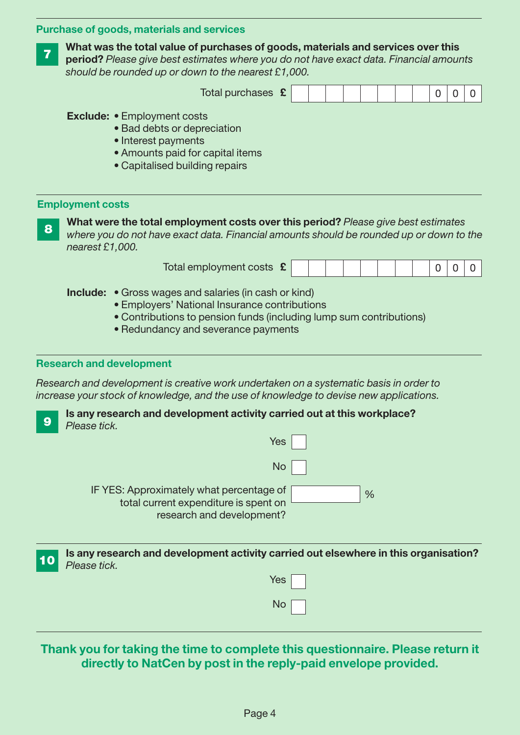## **Purchase of goods, materials and services**

**7**

### **What was the total value of purchases of goods, materials and services over this period?** *Please give best estimates where you do not have exact data. Financial amounts should be rounded up or down to the nearest £1,000.*

|   | SHOULD BE FOUNDED UP OF GOWN TO THE HEAFEST 21,000.                                                                                                                                             |                                                                                                                                                             |  |                          |  |  |  |  |   |          |   |
|---|-------------------------------------------------------------------------------------------------------------------------------------------------------------------------------------------------|-------------------------------------------------------------------------------------------------------------------------------------------------------------|--|--------------------------|--|--|--|--|---|----------|---|
|   |                                                                                                                                                                                                 |                                                                                                                                                             |  | Total purchases £        |  |  |  |  | 0 | $\Omega$ | 0 |
|   | <b>Exclude: •</b> Employment costs                                                                                                                                                              | • Bad debts or depreciation<br>• Interest payments<br>• Amounts paid for capital items<br>• Capitalised building repairs                                    |  |                          |  |  |  |  |   |          |   |
|   | <b>Employment costs</b>                                                                                                                                                                         |                                                                                                                                                             |  |                          |  |  |  |  |   |          |   |
| 8 | What were the total employment costs over this period? Please give best estimates<br>where you do not have exact data. Financial amounts should be rounded up or down to the<br>nearest £1,000. |                                                                                                                                                             |  |                          |  |  |  |  |   |          |   |
|   |                                                                                                                                                                                                 |                                                                                                                                                             |  | Total employment costs £ |  |  |  |  | 0 | 0        | O |
|   | <b>Include:</b> • Gross wages and salaries (in cash or kind)                                                                                                                                    | • Employers' National Insurance contributions<br>• Contributions to pension funds (including lump sum contributions)<br>• Redundancy and severance payments |  |                          |  |  |  |  |   |          |   |
|   | <b>Research and development</b>                                                                                                                                                                 |                                                                                                                                                             |  |                          |  |  |  |  |   |          |   |

*Research and development is creative work undertaken on a systematic basis in order to increase your stock of knowledge, and the use of knowledge to devise new applications.*

| Is any research and development activity carried out at this workplace?<br>Please tick. |
|-----------------------------------------------------------------------------------------|
|                                                                                         |

| les                                                                                                            |  |
|----------------------------------------------------------------------------------------------------------------|--|
| <b>No</b>                                                                                                      |  |
| IF YES: Approximately what percentage of<br>total current expenditure is spent on<br>research and development? |  |

| Is any research and development activity carried out elsewhere in this organisation?<br><b>10</b> Is any resea<br><i>Please tick.</i> |
|---------------------------------------------------------------------------------------------------------------------------------------|
|                                                                                                                                       |

Yes

No

**Thank you for taking the time to complete this questionnaire. Please return it directly to NatCen by post in the reply-paid envelope provided.**